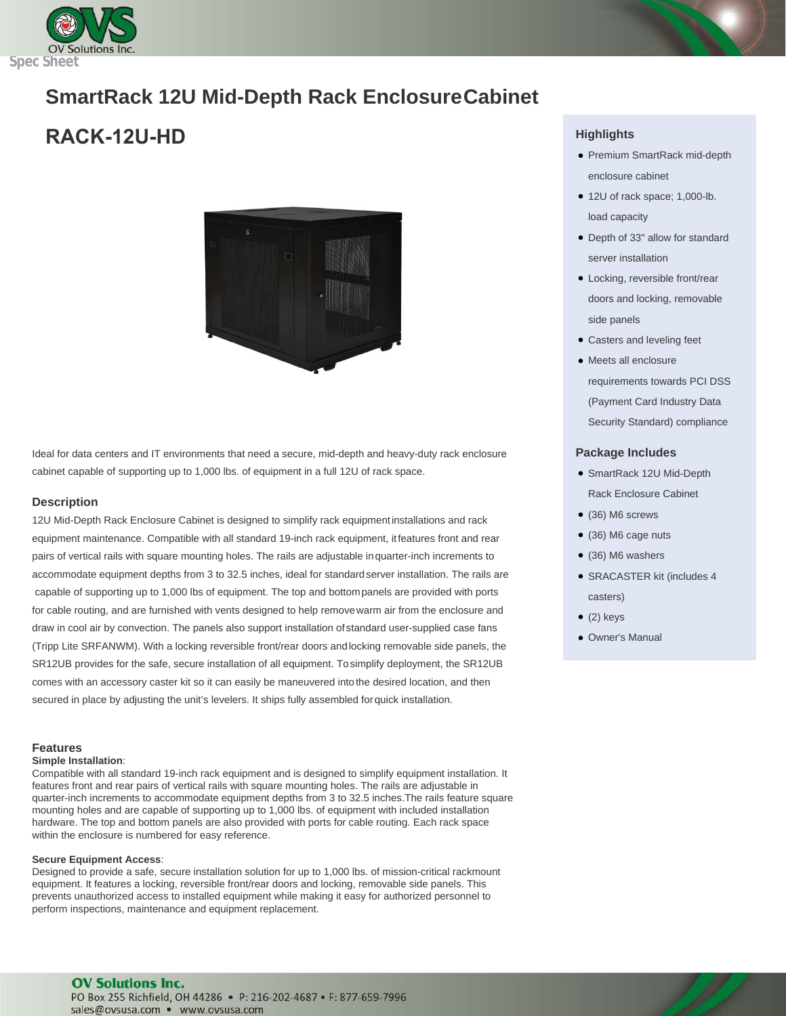

# **SmartRack 12U Mid-Depth Rack EnclosureCabinet**

## **RACK-12U-HD**



Ideal for data centers and IT environments that need a secure, mid-depth and heavy-duty rack enclosure cabinet capable of supporting up to 1,000 lbs. of equipment in a full 12U of rack space.

#### **Description**

12U Mid-Depth Rack Enclosure Cabinet is designed to simplify rack equipmentinstallations and rack equipment maintenance. Compatible with all standard 19-inch rack equipment, itfeatures front and rear pairs of vertical rails with square mounting holes. The rails are adjustable inquarter-inch increments to accommodate equipment depths from 3 to 32.5 inches, ideal for standardserver installation. The rails are capable of supporting up to 1,000 lbs of equipment. The top and bottompanels are provided with ports for cable routing, and are furnished with vents designed to help removewarm air from the enclosure and draw in cool air by convection. The panels also support installation of standard user-supplied case fans (Tripp Lite SRFANWM). With a locking reversible front/rear doors andlocking removable side panels, the SR12UB provides for the safe, secure installation of all equipment. Tosimplify deployment, the SR12UB comes with an accessory caster kit so it can easily be maneuvered intothe desired location, and then secured in place by adjusting the unit's levelers. It ships fully assembled forquick installation.

## **Features**

#### **Simple Installation**:

Compatible with all standard 19-inch rack equipment and is designed to simplify equipment installation. It features front and rear pairs of vertical rails with square mounting holes. The rails are adjustable in quarter-inch increments to accommodate equipment depths from 3 to 32.5 inches.The rails feature square mounting holes and are capable of supporting up to 1,000 lbs. of equipment with included installation hardware. The top and bottom panels are also provided with ports for cable routing. Each rack space within the enclosure is numbered for easy reference.

#### **Secure Equipment Access**:

Designed to provide a safe, secure installation solution for up to 1,000 lbs. of mission-critical rackmount equipment. It features a locking, reversible front/rear doors and locking, removable side panels. This prevents unauthorized access to installed equipment while making it easy for authorized personnel to perform inspections, maintenance and equipment replacement.

### **Highlights**

- Premium SmartRack mid-depth enclosure cabinet
- 12U of rack space; 1,000-lb. load capacity
- Depth of 33" allow for standard server installation
- Locking, reversible front/rear doors and locking, removable side panels
- Casters and leveling feet
- Meets all enclosure requirements towards PCI DSS (Payment Card Industry Data Security Standard) compliance

#### **Package Includes**

- SmartRack 12U Mid-Depth Rack Enclosure Cabinet
- (36) M6 screws
- (36) M6 cage nuts
- (36) M6 washers
- SRACASTER kit (includes 4 casters)
- $\bullet$  (2) keys
- Owner's Manual

### **OV Solutions Inc.** PO Box 255 Richfield, OH 44286 · P: 216-202-4687 · F: 877-659-7996

sales@ovsusa.com · www.ovsusa.com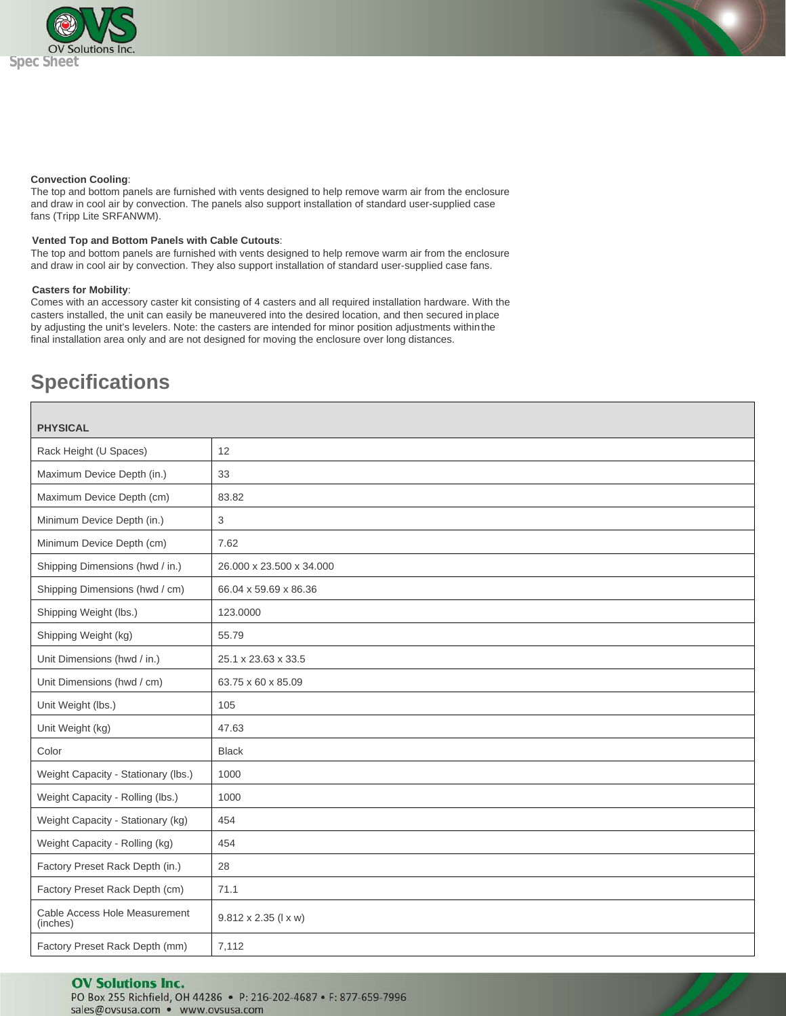

#### **Convection Cooling**:

The top and bottom panels are furnished with vents designed to help remove warm air from the enclosure and draw in cool air by convection. The panels also support installation of standard user-supplied case fans (Tripp Lite SRFANWM).

#### **Vented Top and Bottom Panels with Cable Cutouts**:

The top and bottom panels are furnished with vents designed to help remove warm air from the enclosure and draw in cool air by convection. They also support installation of standard user-supplied case fans.

#### **Casters for Mobility**:

Comes with an accessory caster kit consisting of 4 casters and all required installation hardware. With the casters installed, the unit can easily be maneuvered into the desired location, and then secured inplace by adjusting the unit's levelers. Note: the casters are intended for minor position adjustments withinthe final installation area only and are not designed for moving the enclosure over long distances.

## **Specifications**

| <b>PHYSICAL</b>                           |                                      |
|-------------------------------------------|--------------------------------------|
|                                           |                                      |
| Rack Height (U Spaces)                    | 12                                   |
| Maximum Device Depth (in.)                | 33                                   |
| Maximum Device Depth (cm)                 | 83.82                                |
| Minimum Device Depth (in.)                | 3                                    |
| Minimum Device Depth (cm)                 | 7.62                                 |
| Shipping Dimensions (hwd / in.)           | 26.000 x 23.500 x 34.000             |
| Shipping Dimensions (hwd / cm)            | 66.04 x 59.69 x 86.36                |
| Shipping Weight (lbs.)                    | 123.0000                             |
| Shipping Weight (kg)                      | 55.79                                |
| Unit Dimensions (hwd / in.)               | 25.1 x 23.63 x 33.5                  |
| Unit Dimensions (hwd / cm)                | 63.75 x 60 x 85.09                   |
| Unit Weight (lbs.)                        | 105                                  |
| Unit Weight (kg)                          | 47.63                                |
| Color                                     | <b>Black</b>                         |
| Weight Capacity - Stationary (lbs.)       | 1000                                 |
| Weight Capacity - Rolling (lbs.)          | 1000                                 |
| Weight Capacity - Stationary (kg)         | 454                                  |
| Weight Capacity - Rolling (kg)            | 454                                  |
| Factory Preset Rack Depth (in.)           | 28                                   |
| Factory Preset Rack Depth (cm)            | 71.1                                 |
| Cable Access Hole Measurement<br>(inches) | $9.812 \times 2.35$ ( $1 \times w$ ) |
| Factory Preset Rack Depth (mm)            | 7,112                                |

#### **OV Solutions Inc.** PO Box 255 Richfield, OH 44286 · P: 216-202-4687 · F: 877-659-7996

sales@ovsusa.com · www.ovsusa.com